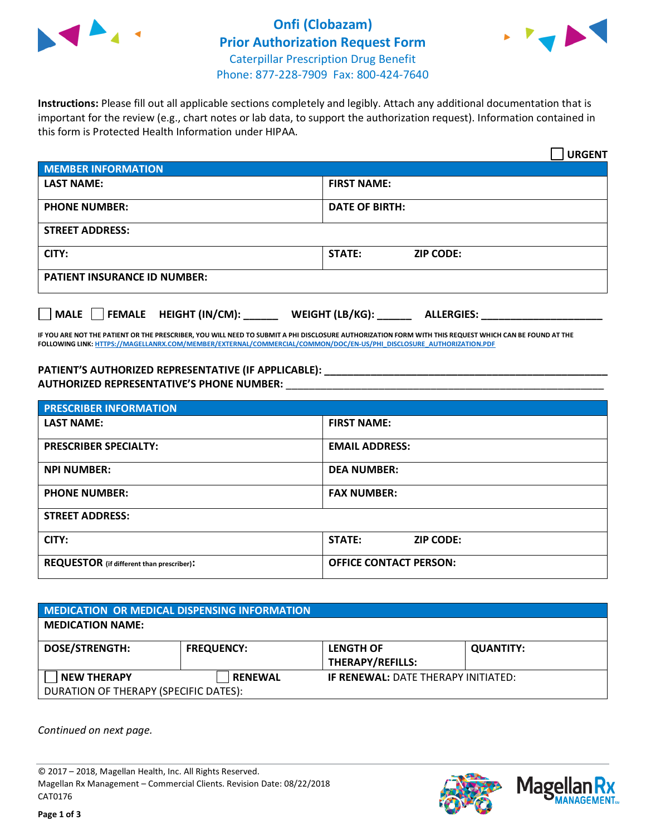

## **Onfi (Clobazam) Prior Authorization Request Form** Caterpillar Prescription Drug Benefit Phone: 877-228-7909 Fax: 800-424-7640



**Instructions:** Please fill out all applicable sections completely and legibly. Attach any additional documentation that is important for the review (e.g., chart notes or lab data, to support the authorization request). Information contained in this form is Protected Health Information under HIPAA.

|                                       | <b>URGENT</b>                        |  |  |  |
|---------------------------------------|--------------------------------------|--|--|--|
| <b>MEMBER INFORMATION</b>             |                                      |  |  |  |
| <b>LAST NAME:</b>                     | <b>FIRST NAME:</b>                   |  |  |  |
| <b>PHONE NUMBER:</b>                  | <b>DATE OF BIRTH:</b>                |  |  |  |
| <b>STREET ADDRESS:</b>                |                                      |  |  |  |
| CITY:                                 | <b>STATE:</b><br><b>ZIP CODE:</b>    |  |  |  |
| <b>PATIENT INSURANCE ID NUMBER:</b>   |                                      |  |  |  |
| FEMALE HEIGHT (IN/CM):<br><b>MALE</b> | WEIGHT (LB/KG):<br><b>ALLERGIES:</b> |  |  |  |

**IF YOU ARE NOT THE PATIENT OR THE PRESCRIBER, YOU WILL NEED TO SUBMIT A PHI DISCLOSURE AUTHORIZATION FORM WITH THIS REQUEST WHICH CAN BE FOUND AT THE FOLLOWING LINK[: HTTPS://MAGELLANRX.COM/MEMBER/EXTERNAL/COMMERCIAL/COMMON/DOC/EN-US/PHI\\_DISCLOSURE\\_AUTHORIZATION.PDF](https://magellanrx.com/member/external/commercial/common/doc/en-us/PHI_Disclosure_Authorization.pdf)**

**PATIENT'S AUTHORIZED REPRESENTATIVE (IF APPLICABLE): \_\_\_\_\_\_\_\_\_\_\_\_\_\_\_\_\_\_\_\_\_\_\_\_\_\_\_\_\_\_\_\_\_\_\_\_\_\_\_\_\_\_\_\_\_\_\_\_\_ AUTHORIZED REPRESENTATIVE'S PHONE NUMBER:** \_\_\_\_\_\_\_\_\_\_\_\_\_\_\_\_\_\_\_\_\_\_\_\_\_\_\_\_\_\_\_\_\_\_\_\_\_\_\_\_\_\_\_\_\_\_\_\_\_\_\_\_\_\_\_

| <b>PRESCRIBER INFORMATION</b>             |                               |  |  |  |
|-------------------------------------------|-------------------------------|--|--|--|
| <b>LAST NAME:</b>                         | <b>FIRST NAME:</b>            |  |  |  |
| <b>PRESCRIBER SPECIALTY:</b>              | <b>EMAIL ADDRESS:</b>         |  |  |  |
| <b>NPI NUMBER:</b>                        | <b>DEA NUMBER:</b>            |  |  |  |
| <b>PHONE NUMBER:</b>                      | <b>FAX NUMBER:</b>            |  |  |  |
| <b>STREET ADDRESS:</b>                    |                               |  |  |  |
| CITY:                                     | STATE:<br><b>ZIP CODE:</b>    |  |  |  |
| REQUESTOR (if different than prescriber): | <b>OFFICE CONTACT PERSON:</b> |  |  |  |

| <b>MEDICATION OR MEDICAL DISPENSING INFORMATION</b> |                   |                                            |                  |  |  |
|-----------------------------------------------------|-------------------|--------------------------------------------|------------------|--|--|
| <b>MEDICATION NAME:</b>                             |                   |                                            |                  |  |  |
| <b>DOSE/STRENGTH:</b>                               | <b>FREQUENCY:</b> | <b>LENGTH OF</b>                           | <b>QUANTITY:</b> |  |  |
|                                                     |                   | <b>THERAPY/REFILLS:</b>                    |                  |  |  |
| <b>NEW THERAPY</b>                                  | <b>RENEWAL</b>    | <b>IF RENEWAL: DATE THERAPY INITIATED:</b> |                  |  |  |
| DURATION OF THERAPY (SPECIFIC DATES):               |                   |                                            |                  |  |  |

*Continued on next page.*

© 2017 – 2018, Magellan Health, Inc. All Rights Reserved. Magellan Rx Management – Commercial Clients. Revision Date: 08/22/2018 CAT0176



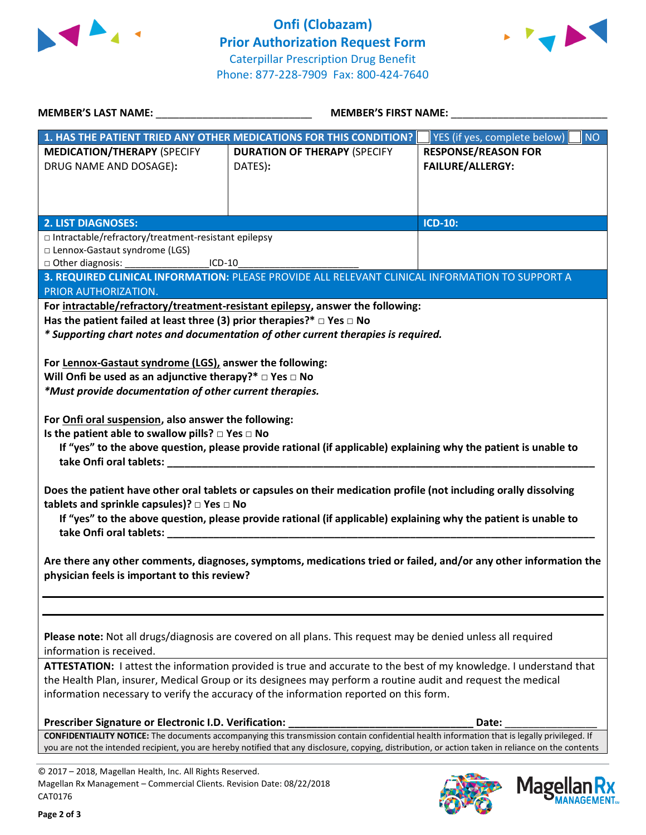



| MEMBER'S LAST NAME: ______________________________                                                                                                                                                            | <b>MEMBER'S FIRST NAME:</b>                                                                                       |                            |  |  |
|---------------------------------------------------------------------------------------------------------------------------------------------------------------------------------------------------------------|-------------------------------------------------------------------------------------------------------------------|----------------------------|--|--|
|                                                                                                                                                                                                               | 1. HAS THE PATIENT TRIED ANY OTHER MEDICATIONS FOR THIS CONDITION? YES (if yes, complete below)                   | <b>NO</b>                  |  |  |
| <b>MEDICATION/THERAPY (SPECIFY</b>                                                                                                                                                                            | <b>DURATION OF THERAPY (SPECIFY</b>                                                                               | <b>RESPONSE/REASON FOR</b> |  |  |
| DRUG NAME AND DOSAGE):                                                                                                                                                                                        | DATES):                                                                                                           | <b>FAILURE/ALLERGY:</b>    |  |  |
|                                                                                                                                                                                                               |                                                                                                                   |                            |  |  |
|                                                                                                                                                                                                               |                                                                                                                   |                            |  |  |
|                                                                                                                                                                                                               |                                                                                                                   |                            |  |  |
| <b>2. LIST DIAGNOSES:</b>                                                                                                                                                                                     |                                                                                                                   | <b>ICD-10:</b>             |  |  |
| □ Intractable/refractory/treatment-resistant epilepsy<br>□ Lennox-Gastaut syndrome (LGS)                                                                                                                      |                                                                                                                   |                            |  |  |
| □ Other diagnosis: ________________________ICD-10                                                                                                                                                             |                                                                                                                   |                            |  |  |
|                                                                                                                                                                                                               | 3. REQUIRED CLINICAL INFORMATION: PLEASE PROVIDE ALL RELEVANT CLINICAL INFORMATION TO SUPPORT A                   |                            |  |  |
| PRIOR AUTHORIZATION.                                                                                                                                                                                          |                                                                                                                   |                            |  |  |
|                                                                                                                                                                                                               | For intractable/refractory/treatment-resistant epilepsy, answer the following:                                    |                            |  |  |
| Has the patient failed at least three (3) prior therapies?* $\Box$ Yes $\Box$ No                                                                                                                              |                                                                                                                   |                            |  |  |
|                                                                                                                                                                                                               | * Supporting chart notes and documentation of other current therapies is required.                                |                            |  |  |
|                                                                                                                                                                                                               |                                                                                                                   |                            |  |  |
| For Lennox-Gastaut syndrome (LGS), answer the following:                                                                                                                                                      |                                                                                                                   |                            |  |  |
| Will Onfi be used as an adjunctive therapy?* $\Box$ Yes $\Box$ No                                                                                                                                             |                                                                                                                   |                            |  |  |
| *Must provide documentation of other current therapies.                                                                                                                                                       |                                                                                                                   |                            |  |  |
|                                                                                                                                                                                                               |                                                                                                                   |                            |  |  |
| For Onfi oral suspension, also answer the following:                                                                                                                                                          |                                                                                                                   |                            |  |  |
| Is the patient able to swallow pills? $\square$ Yes $\square$ No                                                                                                                                              |                                                                                                                   |                            |  |  |
|                                                                                                                                                                                                               | If "yes" to the above question, please provide rational (if applicable) explaining why the patient is unable to   |                            |  |  |
|                                                                                                                                                                                                               |                                                                                                                   |                            |  |  |
|                                                                                                                                                                                                               | Does the patient have other oral tablets or capsules on their medication profile (not including orally dissolving |                            |  |  |
| tablets and sprinkle capsules)? □ Yes □ No                                                                                                                                                                    |                                                                                                                   |                            |  |  |
|                                                                                                                                                                                                               | If "yes" to the above question, please provide rational (if applicable) explaining why the patient is unable to   |                            |  |  |
|                                                                                                                                                                                                               |                                                                                                                   |                            |  |  |
|                                                                                                                                                                                                               |                                                                                                                   |                            |  |  |
|                                                                                                                                                                                                               | Are there any other comments, diagnoses, symptoms, medications tried or failed, and/or any other information the  |                            |  |  |
| physician feels is important to this review?                                                                                                                                                                  |                                                                                                                   |                            |  |  |
|                                                                                                                                                                                                               |                                                                                                                   |                            |  |  |
|                                                                                                                                                                                                               |                                                                                                                   |                            |  |  |
|                                                                                                                                                                                                               |                                                                                                                   |                            |  |  |
| Please note: Not all drugs/diagnosis are covered on all plans. This request may be denied unless all required                                                                                                 |                                                                                                                   |                            |  |  |
| information is received.                                                                                                                                                                                      |                                                                                                                   |                            |  |  |
| ATTESTATION: I attest the information provided is true and accurate to the best of my knowledge. I understand that                                                                                            |                                                                                                                   |                            |  |  |
| the Health Plan, insurer, Medical Group or its designees may perform a routine audit and request the medical                                                                                                  |                                                                                                                   |                            |  |  |
| information necessary to verify the accuracy of the information reported on this form.                                                                                                                        |                                                                                                                   |                            |  |  |
|                                                                                                                                                                                                               |                                                                                                                   |                            |  |  |
| Prescriber Signature or Electronic I.D. Verification:<br>Date:<br>CONFIDENTIALITY NOTICE: The documents accompanying this transmission contain confidential health information that is legally privileged. If |                                                                                                                   |                            |  |  |
| you are not the intended recipient, you are hereby notified that any disclosure, copying, distribution, or action taken in reliance on the contents                                                           |                                                                                                                   |                            |  |  |
| Ing. All Dights Docor                                                                                                                                                                                         |                                                                                                                   |                            |  |  |

© 2017 – 2018, Magellan Health, Inc. All Rights Reserved. Magellan Rx Management – Commercial Clients. Revision Date: 08/22/2018 CAT0176



Mage

**Ilan Rx<br>ANAGEMENT...**